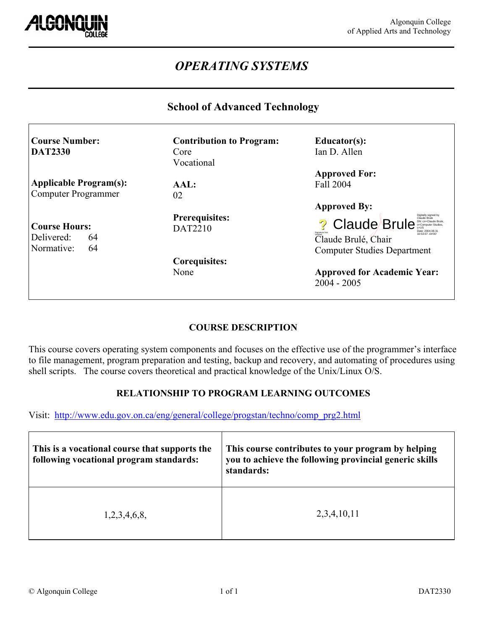

 $\Gamma$ 

# *OPERATING SYSTEMS*

### **School of Advanced Technology**

| <b>Course Number:</b><br><b>DAT2330</b>                      | <b>Contribution to Program:</b><br>Core<br>Vocational | Educator(s):<br>Ian D. Allen                                                                                                                                                         |
|--------------------------------------------------------------|-------------------------------------------------------|--------------------------------------------------------------------------------------------------------------------------------------------------------------------------------------|
| <b>Applicable Program(s):</b><br>Computer Programmer         | AAL:<br>02                                            | <b>Approved For:</b><br>Fall 2004                                                                                                                                                    |
| <b>Course Hours:</b><br>Delivered:<br>64<br>Normative:<br>64 | <b>Prerequisites:</b><br><b>DAT2210</b>               | <b>Approved By:</b><br><b>Jaude Bruis</b><br>? Claude Brule<br>DN: cn=Claude Bri<br>Date: 2004 08.31<br>10:53:07 -04:00<br>Claude Brulé, Chair<br><b>Computer Studies Department</b> |
|                                                              | Corequisites:<br>None                                 | <b>Approved for Academic Year:</b><br>$2004 - 2005$                                                                                                                                  |

### **COURSE DESCRIPTION**

This course covers operating system components and focuses on the effective use of the programmer's interface to file management, program preparation and testing, backup and recovery, and automating of procedures using shell scripts. The course covers theoretical and practical knowledge of the Unix/Linux O/S.

### **RELATIONSHIP TO PROGRAM LEARNING OUTCOMES**

Visit: [http://www.edu.gov.on.ca/eng/general/college/progstan/techno/comp\\_prg2.html](http://www.edu.gov.on.ca/eng/general/college/progstan/techno/comp_prg2.html)

| This is a vocational course that supports the<br>following vocational program standards: | This course contributes to your program by helping<br>you to achieve the following provincial generic skills<br>standards: |  |
|------------------------------------------------------------------------------------------|----------------------------------------------------------------------------------------------------------------------------|--|
| 1,2,3,4,6,8,                                                                             | 2,3,4,10,11                                                                                                                |  |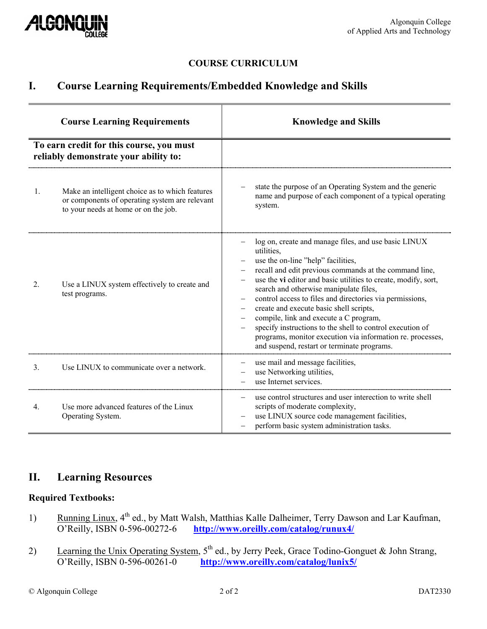

### **COURSE CURRICULUM**

## **I. Course Learning Requirements/Embedded Knowledge and Skills**

| <b>Course Learning Requirements</b><br>To earn credit for this course, you must<br>reliably demonstrate your ability to: |                                                                                                                                           | <b>Knowledge and Skills</b>                                                                                                                                                                                                                                                                                                                                                                                                                                                                                                                                                                                                    |  |
|--------------------------------------------------------------------------------------------------------------------------|-------------------------------------------------------------------------------------------------------------------------------------------|--------------------------------------------------------------------------------------------------------------------------------------------------------------------------------------------------------------------------------------------------------------------------------------------------------------------------------------------------------------------------------------------------------------------------------------------------------------------------------------------------------------------------------------------------------------------------------------------------------------------------------|--|
|                                                                                                                          |                                                                                                                                           |                                                                                                                                                                                                                                                                                                                                                                                                                                                                                                                                                                                                                                |  |
| $\mathbf{1}$ .                                                                                                           | Make an intelligent choice as to which features<br>or components of operating system are relevant<br>to your needs at home or on the job. | state the purpose of an Operating System and the generic<br>name and purpose of each component of a typical operating<br>system.                                                                                                                                                                                                                                                                                                                                                                                                                                                                                               |  |
| 2.                                                                                                                       | Use a LINUX system effectively to create and<br>test programs.                                                                            | log on, create and manage files, and use basic LINUX<br>utilities,<br>use the on-line "help" facilities,<br>recall and edit previous commands at the command line,<br>use the vi editor and basic utilities to create, modify, sort,<br>search and otherwise manipulate files,<br>control access to files and directories via permissions,<br>$\qquad \qquad -$<br>create and execute basic shell scripts,<br>compile, link and execute a C program,<br>specify instructions to the shell to control execution of<br>programs, monitor execution via information re. processes,<br>and suspend, restart or terminate programs. |  |
| 3 <sub>1</sub>                                                                                                           | Use LINUX to communicate over a network.                                                                                                  | use mail and message facilities,<br>use Networking utilities,<br>use Internet services.                                                                                                                                                                                                                                                                                                                                                                                                                                                                                                                                        |  |
| 4.                                                                                                                       | Use more advanced features of the Linux<br>Operating System.                                                                              | use control structures and user interection to write shell<br>scripts of moderate complexity,<br>use LINUX source code management facilities,<br>perform basic system administration tasks.                                                                                                                                                                                                                                                                                                                                                                                                                                    |  |

## **II. Learning Resources**

### **Required Textbooks:**

- 1) Running Linux,  $4^{\text{th}}$  ed., by Matt Walsh, Matthias Kalle Dalheimer, Terry Dawson and Lar Kaufman, O'Reilly, ISBN 0-596-00272-6 http://www.oreilly.com/catalog/runux4/ <http://www.oreilly.com/catalog/runux4/>
- 2) Learning the Unix Operating System,  $5^{th}$  ed., by Jerry Peek, Grace Todino-Gonguet & John Strang, O'Reilly, ISBN 0-596-00261-0 http://www.oreilly.com/catalog/lunix5/ <http://www.oreilly.com/catalog/lunix5/>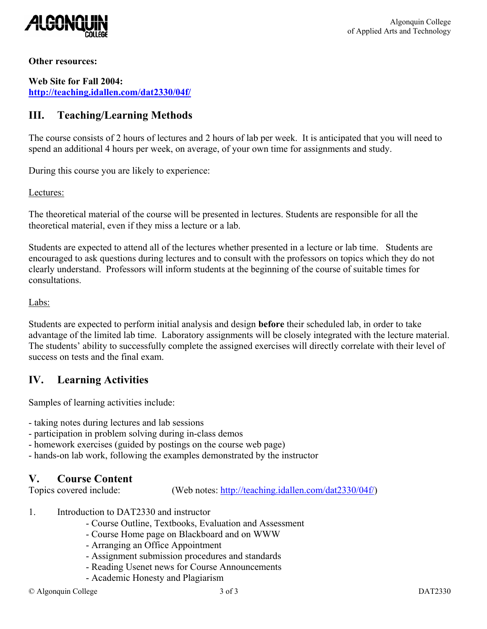

#### **Other resources:**

**Web Site for Fall 2004: <http://teaching.idallen.com/dat2330/04f/>**

## **III. Teaching/Learning Methods**

The course consists of 2 hours of lectures and 2 hours of lab per week. It is anticipated that you will need to spend an additional 4 hours per week, on average, of your own time for assignments and study.

During this course you are likely to experience:

#### Lectures:

The theoretical material of the course will be presented in lectures. Students are responsible for all the theoretical material, even if they miss a lecture or a lab.

Students are expected to attend all of the lectures whether presented in a lecture or lab time. Students are encouraged to ask questions during lectures and to consult with the professors on topics which they do not clearly understand. Professors will inform students at the beginning of the course of suitable times for consultations.

#### Labs:

Students are expected to perform initial analysis and design **before** their scheduled lab, in order to take advantage of the limited lab time. Laboratory assignments will be closely integrated with the lecture material. The students' ability to successfully complete the assigned exercises will directly correlate with their level of success on tests and the final exam.

## **IV. Learning Activities**

Samples of learning activities include:

- taking notes during lectures and lab sessions

- participation in problem solving during in-class demos
- homework exercises (guided by postings on the course web page)
- hands-on lab work, following the examples demonstrated by the instructor

### **V. Course Content**

Topics covered include: (Web notes: [http://teaching.idallen.com/dat2330/04f/\)](http://teaching.idallen.com/dat2330/04f/)

- 1. Introduction to DAT2330 and instructor
	- Course Outline, Textbooks, Evaluation and Assessment
	- Course Home page on Blackboard and on WWW
	- Arranging an Office Appointment
	- Assignment submission procedures and standards
	- Reading Usenet news for Course Announcements
	- Academic Honesty and Plagiarism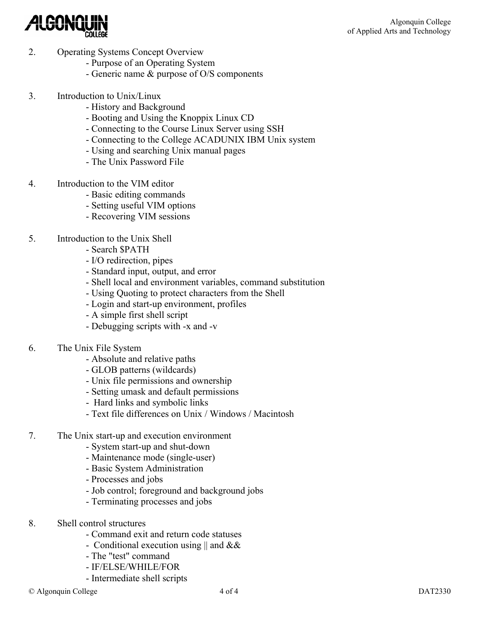

- 2. Operating Systems Concept Overview
	- Purpose of an Operating System
	- Generic name & purpose of O/S components
- 3. Introduction to Unix/Linux
	- History and Background
	- Booting and Using the Knoppix Linux CD
	- Connecting to the Course Linux Server using SSH
	- Connecting to the College ACADUNIX IBM Unix system
	- Using and searching Unix manual pages
	- The Unix Password File
- 4. Introduction to the VIM editor
	- Basic editing commands
	- Setting useful VIM options
	- Recovering VIM sessions
- 5. Introduction to the Unix Shell
	- Search \$PATH
	- I/O redirection, pipes
	- Standard input, output, and error
	- Shell local and environment variables, command substitution
	- Using Quoting to protect characters from the Shell
	- Login and start-up environment, profiles
	- A simple first shell script
	- Debugging scripts with -x and -v
- 6. The Unix File System
	- Absolute and relative paths
	- GLOB patterns (wildcards)
	- Unix file permissions and ownership
	- Setting umask and default permissions
	- Hard links and symbolic links
	- Text file differences on Unix / Windows / Macintosh
- 7. The Unix start-up and execution environment
	- System start-up and shut-down
	- Maintenance mode (single-user)
	- Basic System Administration
	- Processes and jobs
	- Job control; foreground and background jobs
	- Terminating processes and jobs
- 8. Shell control structures
	- Command exit and return code statuses
	- Conditional execution using  $\parallel$  and  $\&\&$
	- The "test" command
	- IF/ELSE/WHILE/FOR
	- Intermediate shell scripts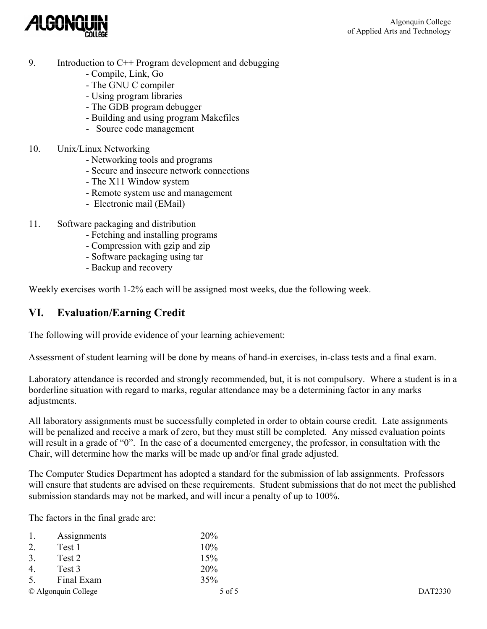

- 9. Introduction to C++ Program development and debugging
	- Compile, Link, Go
	- The GNU C compiler
	- Using program libraries
	- The GDB program debugger
	- Building and using program Makefiles
	- Source code management
- 10. Unix/Linux Networking
	- Networking tools and programs
	- Secure and insecure network connections
	- The X11 Window system
	- Remote system use and management
	- Electronic mail (EMail)
- 11. Software packaging and distribution
	- Fetching and installing programs
	- Compression with gzip and zip
	- Software packaging using tar
	- Backup and recovery

Weekly exercises worth 1-2% each will be assigned most weeks, due the following week.

## **VI. Evaluation/Earning Credit**

The following will provide evidence of your learning achievement:

Assessment of student learning will be done by means of hand-in exercises, in-class tests and a final exam.

Laboratory attendance is recorded and strongly recommended, but, it is not compulsory. Where a student is in a borderline situation with regard to marks, regular attendance may be a determining factor in any marks adjustments.

All laboratory assignments must be successfully completed in order to obtain course credit. Late assignments will be penalized and receive a mark of zero, but they must still be completed. Any missed evaluation points will result in a grade of "0". In the case of a documented emergency, the professor, in consultation with the Chair, will determine how the marks will be made up and/or final grade adjusted.

The Computer Studies Department has adopted a standard for the submission of lab assignments. Professors will ensure that students are advised on these requirements. Student submissions that do not meet the published submission standards may not be marked, and will incur a penalty of up to 100%.

The factors in the final grade are:

| 1.               | Assignments         | 20%    |         |
|------------------|---------------------|--------|---------|
| 2.               | Test 1              | 10%    |         |
| $\overline{3}$ . | Test 2              | 15%    |         |
| $\overline{4}$ . | Test 3              | 20%    |         |
| 5.               | Final Exam          | 35%    |         |
|                  | © Algonquin College | 5 of 5 | DAT2330 |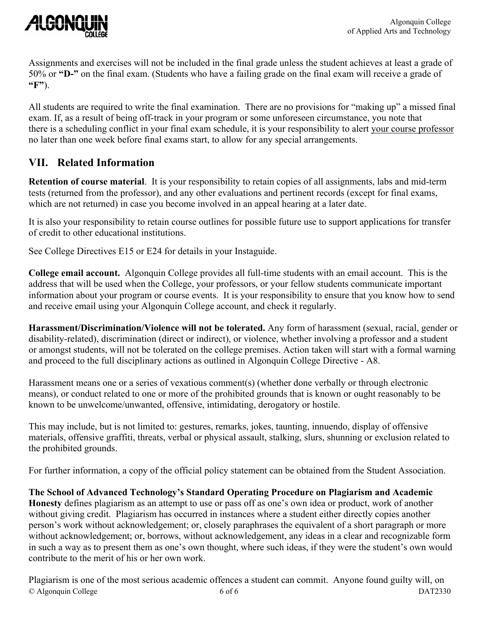

Assignments and exercises will not be included in the final grade unless the student achieves at least a grade of 50% or **"D-"** on the final exam. (Students who have a failing grade on the final exam will receive a grade of **"F"**).

All students are required to write the final examination. There are no provisions for "making up" a missed final exam. If, as a result of being off-track in your program or some unforeseen circumstance, you note that there is a scheduling conflict in your final exam schedule, it is your responsibility to alert your course professor no later than one week before final exams start, to allow for any special arrangements.

## **VII. Related Information**

**Retention of course material**. It is your responsibility to retain copies of all assignments, labs and mid-term tests (returned from the professor), and any other evaluations and pertinent records (except for final exams, which are not returned) in case you become involved in an appeal hearing at a later date.

It is also your responsibility to retain course outlines for possible future use to support applications for transfer of credit to other educational institutions.

See College Directives E15 or E24 for details in your Instaguide.

**College email account.** Algonquin College provides all full-time students with an email account. This is the address that will be used when the College, your professors, or your fellow students communicate important information about your program or course events. It is your responsibility to ensure that you know how to send and receive email using your Algonquin College account, and check it regularly.

**Harassment/Discrimination/Violence will not be tolerated.** Any form of harassment (sexual, racial, gender or disability-related), discrimination (direct or indirect), or violence, whether involving a professor and a student or amongst students, will not be tolerated on the college premises. Action taken will start with a formal warning and proceed to the full disciplinary actions as outlined in Algonquin College Directive - A8.

Harassment means one or a series of vexatious comment(s) (whether done verbally or through electronic means), or conduct related to one or more of the prohibited grounds that is known or ought reasonably to be known to be unwelcome/unwanted, offensive, intimidating, derogatory or hostile.

This may include, but is not limited to: gestures, remarks, jokes, taunting, innuendo, display of offensive materials, offensive graffiti, threats, verbal or physical assault, stalking, slurs, shunning or exclusion related to the prohibited grounds.

For further information, a copy of the official policy statement can be obtained from the Student Association.

**The School of Advanced Technology's Standard Operating Procedure on Plagiarism and Academic Honesty** defines plagiarism as an attempt to use or pass off as one's own idea or product, work of another without giving credit. Plagiarism has occurred in instances where a student either directly copies another person's work without acknowledgement; or, closely paraphrases the equivalent of a short paragraph or more without acknowledgement; or, borrows, without acknowledgement, any ideas in a clear and recognizable form in such a way as to present them as one's own thought, where such ideas, if they were the student's own would contribute to the merit of his or her own work.

Plagiarism is one of the most serious academic offences a student can commit. Anyone found guilty will, on © Algonquin College 6 of 6 DAT2330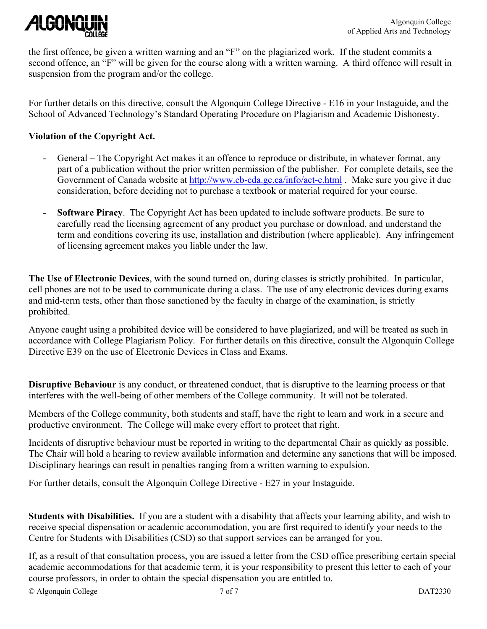

the first offence, be given a written warning and an "F" on the plagiarized work. If the student commits a second offence, an "F" will be given for the course along with a written warning. A third offence will result in suspension from the program and/or the college.

For further details on this directive, consult the Algonquin College Directive - E16 in your Instaguide, and the School of Advanced Technology's Standard Operating Procedure on Plagiarism and Academic Dishonesty.

#### **Violation of the Copyright Act.**

- General The Copyright Act makes it an offence to reproduce or distribute, in whatever format, any part of a publication without the prior written permission of the publisher. For complete details, see the Government of Canada website at<http://www.cb-cda.gc.ca/info/act-e.html> . Make sure you give it due consideration, before deciding not to purchase a textbook or material required for your course.
- **Software Piracy**. The Copyright Act has been updated to include software products. Be sure to carefully read the licensing agreement of any product you purchase or download, and understand the term and conditions covering its use, installation and distribution (where applicable). Any infringement of licensing agreement makes you liable under the law.

**The Use of Electronic Devices**, with the sound turned on, during classes is strictly prohibited. In particular, cell phones are not to be used to communicate during a class. The use of any electronic devices during exams and mid-term tests, other than those sanctioned by the faculty in charge of the examination, is strictly prohibited.

Anyone caught using a prohibited device will be considered to have plagiarized, and will be treated as such in accordance with College Plagiarism Policy. For further details on this directive, consult the Algonquin College Directive E39 on the use of Electronic Devices in Class and Exams.

**Disruptive Behaviour** is any conduct, or threatened conduct, that is disruptive to the learning process or that interferes with the well-being of other members of the College community. It will not be tolerated.

Members of the College community, both students and staff, have the right to learn and work in a secure and productive environment. The College will make every effort to protect that right.

Incidents of disruptive behaviour must be reported in writing to the departmental Chair as quickly as possible. The Chair will hold a hearing to review available information and determine any sanctions that will be imposed. Disciplinary hearings can result in penalties ranging from a written warning to expulsion.

For further details, consult the Algonquin College Directive - E27 in your Instaguide.

**Students with Disabilities.** If you are a student with a disability that affects your learning ability, and wish to receive special dispensation or academic accommodation, you are first required to identify your needs to the Centre for Students with Disabilities (CSD) so that support services can be arranged for you.

If, as a result of that consultation process, you are issued a letter from the CSD office prescribing certain special academic accommodations for that academic term, it is your responsibility to present this letter to each of your course professors, in order to obtain the special dispensation you are entitled to.

© Algonquin College 7 of 7 DAT2330